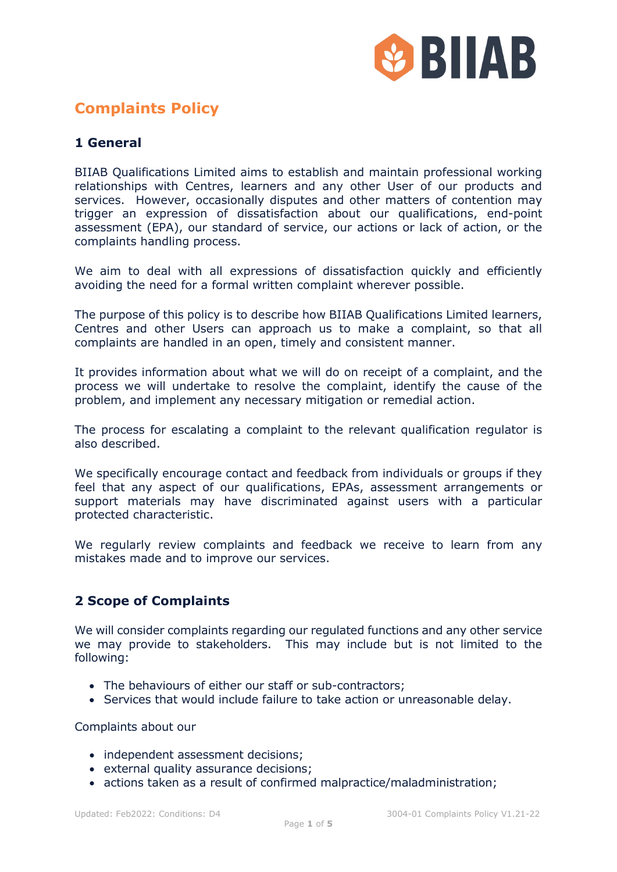

# **Complaints Policy**

# **1 General**

BIIAB Qualifications Limited aims to establish and maintain professional working relationships with Centres, learners and any other User of our products and services. However, occasionally disputes and other matters of contention may trigger an expression of dissatisfaction about our qualifications, end-point assessment (EPA), our standard of service, our actions or lack of action, or the complaints handling process.

We aim to deal with all expressions of dissatisfaction quickly and efficiently avoiding the need for a formal written complaint wherever possible.

The purpose of this policy is to describe how BIIAB Qualifications Limited learners, Centres and other Users can approach us to make a complaint, so that all complaints are handled in an open, timely and consistent manner.

It provides information about what we will do on receipt of a complaint, and the process we will undertake to resolve the complaint, identify the cause of the problem, and implement any necessary mitigation or remedial action.

The process for escalating a complaint to the relevant qualification regulator is also described.

We specifically encourage contact and feedback from individuals or groups if they feel that any aspect of our qualifications, EPAs, assessment arrangements or support materials may have discriminated against users with a particular protected characteristic.

We regularly review complaints and feedback we receive to learn from any mistakes made and to improve our services.

### **2 Scope of Complaints**

We will consider complaints regarding our regulated functions and any other service we may provide to stakeholders. This may include but is not limited to the following:

- The behaviours of either our staff or sub-contractors;
- Services that would include failure to take action or unreasonable delay.

Complaints about our

- independent assessment decisions:
- external quality assurance decisions;
- actions taken as a result of confirmed malpractice/maladministration;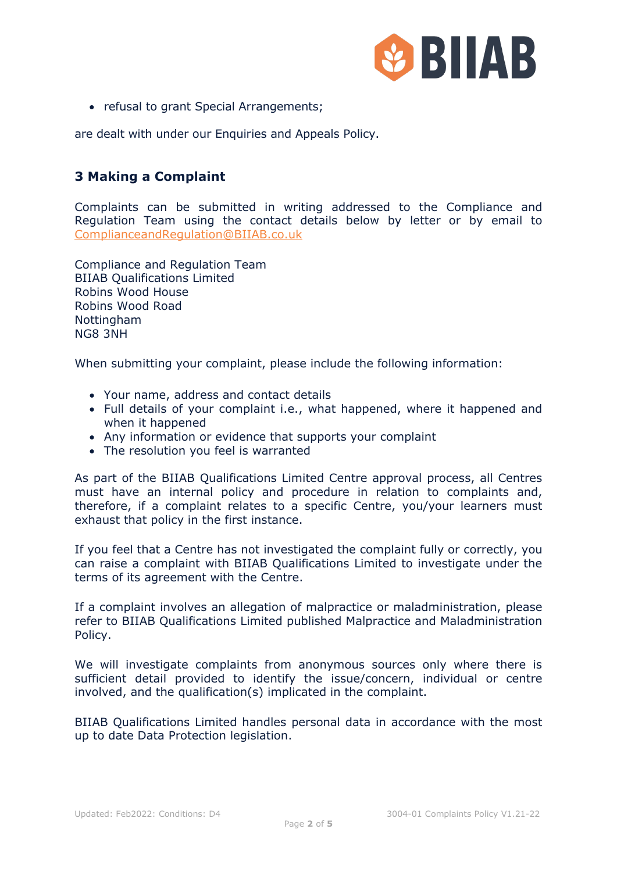

• refusal to grant Special Arrangements;

are dealt with under our Enquiries and Appeals Policy.

# **3 Making a Complaint**

Complaints can be submitted in writing addressed to the Compliance and Regulation Team using the contact details below by letter or by email to ComplianceandRegulation@BIIAB.co.uk

Compliance and Regulation Team BIIAB Qualifications Limited Robins Wood House Robins Wood Road **Nottingham** NG8 3NH

When submitting your complaint, please include the following information:

- Your name, address and contact details
- Full details of your complaint i.e., what happened, where it happened and when it happened
- Any information or evidence that supports your complaint
- The resolution you feel is warranted

As part of the BIIAB Qualifications Limited Centre approval process, all Centres must have an internal policy and procedure in relation to complaints and, therefore, if a complaint relates to a specific Centre, you/your learners must exhaust that policy in the first instance.

If you feel that a Centre has not investigated the complaint fully or correctly, you can raise a complaint with BIIAB Qualifications Limited to investigate under the terms of its agreement with the Centre.

If a complaint involves an allegation of malpractice or maladministration, please refer to BIIAB Qualifications Limited published Malpractice and Maladministration Policy.

We will investigate complaints from anonymous sources only where there is sufficient detail provided to identify the issue/concern, individual or centre involved, and the qualification(s) implicated in the complaint.

BIIAB Qualifications Limited handles personal data in accordance with the most up to date Data Protection legislation.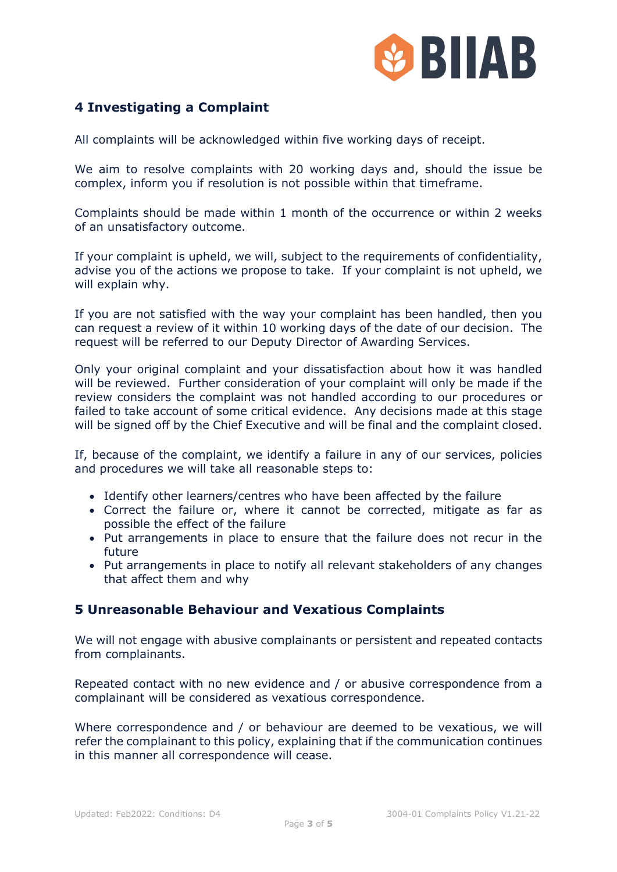

## **4 Investigating a Complaint**

All complaints will be acknowledged within five working days of receipt.

We aim to resolve complaints with 20 working days and, should the issue be complex, inform you if resolution is not possible within that timeframe.

Complaints should be made within 1 month of the occurrence or within 2 weeks of an unsatisfactory outcome.

If your complaint is upheld, we will, subject to the requirements of confidentiality, advise you of the actions we propose to take. If your complaint is not upheld, we will explain why.

If you are not satisfied with the way your complaint has been handled, then you can request a review of it within 10 working days of the date of our decision. The request will be referred to our Deputy Director of Awarding Services.

Only your original complaint and your dissatisfaction about how it was handled will be reviewed. Further consideration of your complaint will only be made if the review considers the complaint was not handled according to our procedures or failed to take account of some critical evidence. Any decisions made at this stage will be signed off by the Chief Executive and will be final and the complaint closed.

If, because of the complaint, we identify a failure in any of our services, policies and procedures we will take all reasonable steps to:

- Identify other learners/centres who have been affected by the failure
- Correct the failure or, where it cannot be corrected, mitigate as far as possible the effect of the failure
- Put arrangements in place to ensure that the failure does not recur in the future
- Put arrangements in place to notify all relevant stakeholders of any changes that affect them and why

### **5 Unreasonable Behaviour and Vexatious Complaints**

We will not engage with abusive complainants or persistent and repeated contacts from complainants.

Repeated contact with no new evidence and / or abusive correspondence from a complainant will be considered as vexatious correspondence.

Where correspondence and / or behaviour are deemed to be vexatious, we will refer the complainant to this policy, explaining that if the communication continues in this manner all correspondence will cease.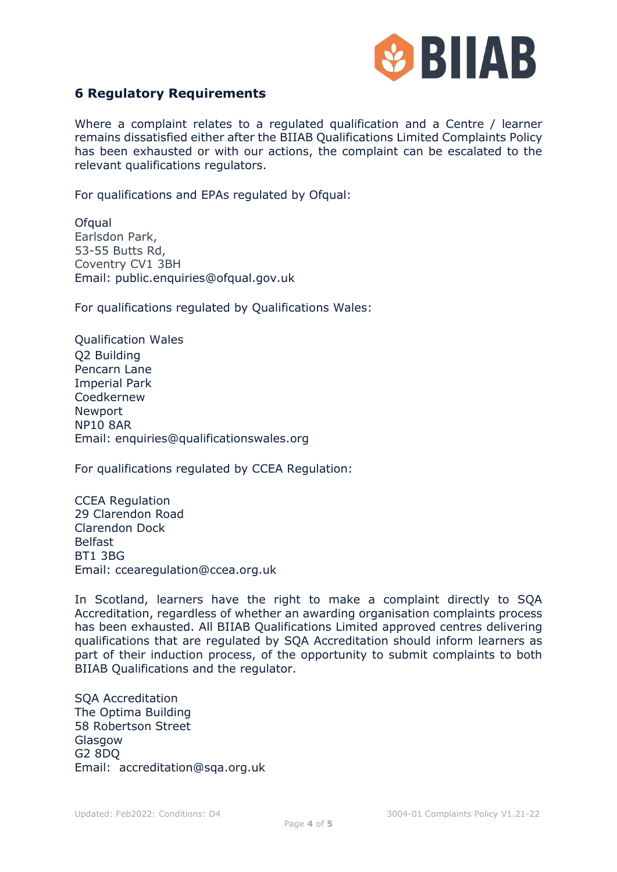

#### **6 Regulatory Requirements**

Where a complaint relates to a regulated qualification and a Centre / learner remains dissatisfied either after the BIIAB Qualifications Limited Complaints Policy has been exhausted or with our actions, the complaint can be escalated to the relevant qualifications regulators.

For qualifications and EPAs regulated by Ofqual:

**Ofqual** Earlsdon Park, 53-55 Butts Rd, Coventry CV1 3BH Email: [public.enquiries@ofqual.gov.uk](mailto:public.enquiries@ofqual.gov.uk)

For qualifications regulated by Qualifications Wales:

Qualification Wales Q2 Building Pencarn Lane Imperial Park Coedkernew Newport NP10 8AR Email: [enquiries@qualificationswales.org](mailto:enquiries@qualificationswales.org)

For qualifications regulated by CCEA Regulation:

CCEA Regulation 29 Clarendon Road Clarendon Dock Belfast BT1 3BG Email: [ccearegulation@ccea.org.uk](mailto:ccearegulation@ccea.org.uk)

In Scotland, learners have the right to make a complaint directly to SQA Accreditation, regardless of whether an awarding organisation complaints process has been exhausted. All BIIAB Qualifications Limited approved centres delivering qualifications that are regulated by SQA Accreditation should inform learners as part of their induction process, of the opportunity to submit complaints to both BIIAB Qualifications and the regulator.

SQA Accreditation The Optima Building 58 Robertson Street **Glasgow** G2 8DQ Email: [accreditation@sqa.org.uk](mailto:accreditation@sqa.org.uk)